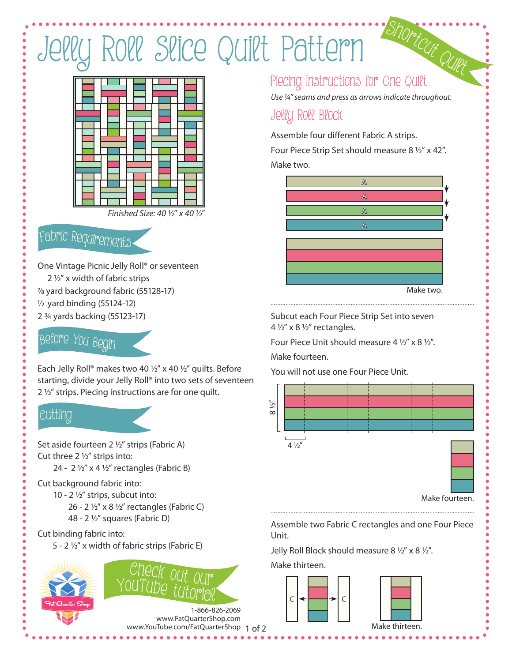# Jelly Roll Slice Quilt Pattern



# <sup>F</sup>abri<sup>c</sup> <sup>R</sup><sup>e</sup>quirement<sup>s</sup>

One Vintage Picnic Jelly Roll® or seventeen 2 ½" x width of fabric strips

- 7/8 yard background fabric (55128-17)
- 1/2 yard binding (55124-12)
- 2 ¾ yards backing (55123-17)

# <sup>B</sup>efor<sup>e</sup> <sup>Y</sup>o<sup>u</sup> <sup>B</sup><sup>e</sup>gi<sup>n</sup>

Each Jelly Roll® makes two 40 ½" x 40 ½" quilts. Before starting, divide your Jelly Roll® into two sets of seventeen 2 ½" strips. Piecing instructions are for one quilt.

### Cutti<sup>n</sup>g

Set aside fourteen 2 1/2" strips (Fabric A) Cut three  $2\frac{1}{2}$ " strips into:

24 - 2  $\frac{1}{2}$ " x 4  $\frac{1}{2}$ " rectangles (Fabric B)

#### Cut background fabric into:

- 10 2 ½" strips, subcut into:
	- 26 2  $\frac{1}{2}$ " x 8  $\frac{1}{2}$ " rectangles (Fabric C) 48 - 2 1/2" squares (Fabric D)

#### Cut binding fabric into:

5 - 2 ½" x width of fabric strips (Fabric E)





www.YouTube.com/FatQuarterShop 1 of 2 1-866-826-2069 www.FatQuarterShop.com

### Piecing Instructions for One Quilt

*Use ¼" seams and press as arrows indicate throughout.*

### Jelly Roll Block

Assemble four different Fabric A strips.

Four Piece Strip Set should measure 8 ½" x 42". Make two.

# Make two. A A A A

Subcut each Four Piece Strip Set into seven  $4\frac{1}{2}$ " x 8  $\frac{1}{2}$ " rectangles.

Four Piece Unit should measure 4 ½" x 8 ½".

Make fourteen.

You will not use one Four Piece Unit.



Assemble two Fabric C rectangles and one Four Piece Unit.

Jelly Roll Block should measure 8  $1/2$ " x 8  $1/2$ ".

Make thirteen.

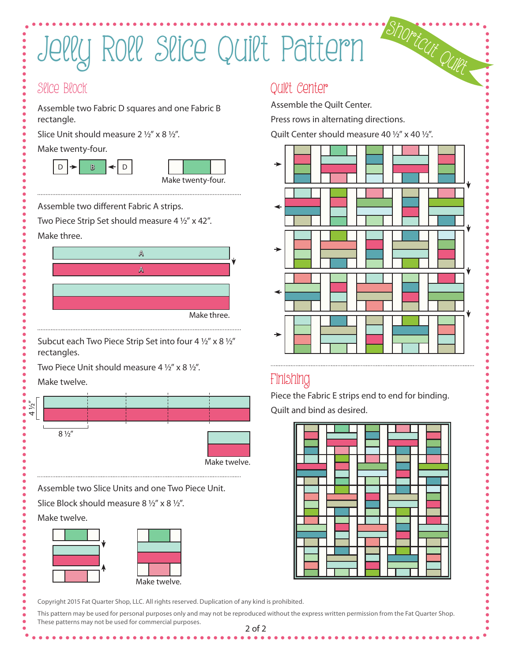# Jelly Roll Slice Quilt Pattern

#### Slice Block

Assemble two Fabric D squares and one Fabric B rectangle.

Slice Unit should measure  $2 \frac{1}{2}$ " x 8  $\frac{1}{2}$ ".

Make twenty-four.





Assemble two different Fabric A strips.

Two Piece Strip Set should measure 4 ½" x 42". Make three.



Subcut each Two Piece Strip Set into four 4 ½" x 8 ½" rectangles.

Two Piece Unit should measure 4 1/2" x 8 1/2".

Make twelve.



Copyright 2015 Fat Quarter Shop, LLC. All rights reserved. Duplication of any kind is prohibited.

2 of 2 This pattern may be used for personal purposes only and may not be reproduced without the express written permission from the Fat Quarter Shop. These patterns may not be used for commercial purposes.

### Quilt Center

Assemble the Quilt Center.

Press rows in alternating directions.

Quilt Center should measure 40 ½" x 40 ½".



## Finishing

Piece the Fabric E strips end to end for binding. Quilt and bind as desired.

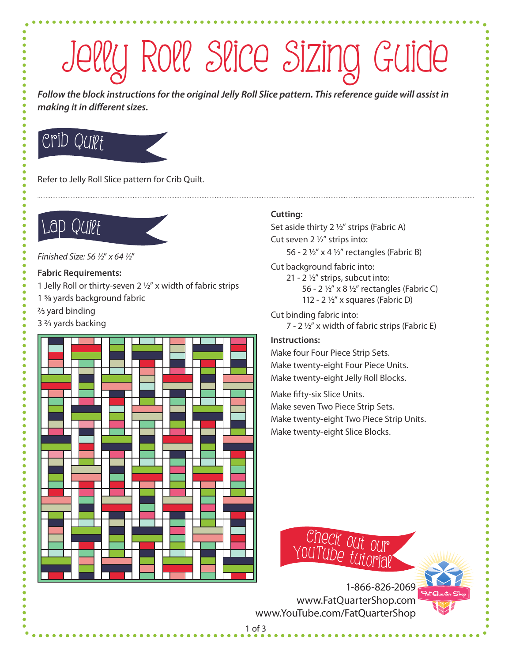# Jelly Roll Slice Sizing Guide

*Follow the block instructions for the original Jelly Roll Slice pattern. This reference guide will assist in making it in different sizes.*

# Crib Quiet

Refer to Jelly Roll Slice pattern for Crib Quilt.

## Lap Quilt

*Finished Size: 56 1/2*" *x 64 1/2*"

#### **Fabric Requirements:**

- 1 Jelly Roll or thirty-seven 2  $1/2$ " x width of fabric strips
- 1 5/8 yards background fabric
- $\frac{2}{3}$  yard binding
- 3 2/3 yards backing



#### **Cutting:**

Set aside thirty  $2\frac{1}{2}$ " strips (Fabric A) Cut seven 2 1/2" strips into: 56 - 2  $\frac{1}{2}$ " x 4  $\frac{1}{2}$ " rectangles (Fabric B)

Cut background fabric into:

21 - 2 $\frac{1}{2}$ " strips, subcut into: 56 - 2 1/2" x 8 1/2" rectangles (Fabric C) 112 - 2 $\frac{1}{2}$ " x squares (Fabric D)

Cut binding fabric into:  $7 - 2\frac{1}{2}$ " x width of fabric strips (Fabric E)

#### **Instructions:**

Make four Four Piece Strip Sets. Make twenty-eight Four Piece Units. Make twenty-eight Jelly Roll Blocks.

Make fifty-six Slice Units. Make seven Two Piece Strip Sets. Make twenty-eight Two Piece Strip Units. Make twenty-eight Slice Blocks.



1-866-826-2069 www.FatQuarterShop.com www.YouTube.com/FatQuarterShop

1 of 3

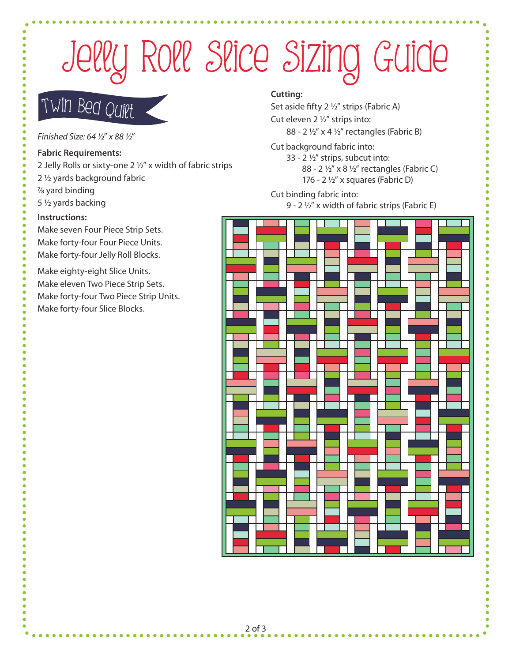# Jelly Roll Slice Sizing Guide

# Twi<sup>n</sup> <sup>B</sup>ed Quil<sup>t</sup>

*Finished Size: 64 1/2*" *x 88 1/2*"

#### **Fabric Requirements:**

- 2 Jelly Rolls or sixty-one 2  $1/2$ " x width of fabric strips
- 2 1/2 yards background fabric
- 7/8 yard binding
- 5 1/2 yards backing

#### **Instructions:**

Make seven Four Piece Strip Sets. Make forty-four Four Piece Units. Make forty-four Jelly Roll Blocks.

Make eighty-eight Slice Units. Make eleven Two Piece Strip Sets. Make forty-four Two Piece Strip Units. Make forty-four Slice Blocks.

#### **Cutting:**

Set aside fifty  $2\frac{1}{2}$ " strips (Fabric A) Cut eleven 2 1/2" strips into:

88 - 2 1/2" x 4 1/2" rectangles (Fabric B)

Cut background fabric into:

33 - 2 $\frac{1}{2}$ " strips, subcut into: 88 - 2 1/2" x 8 1/2" rectangles (Fabric C) 176 - 2 $\frac{1}{2}$ " x squares (Fabric D)

Cut binding fabric into:

9 - 2 1/2" x width of fabric strips (Fabric E)